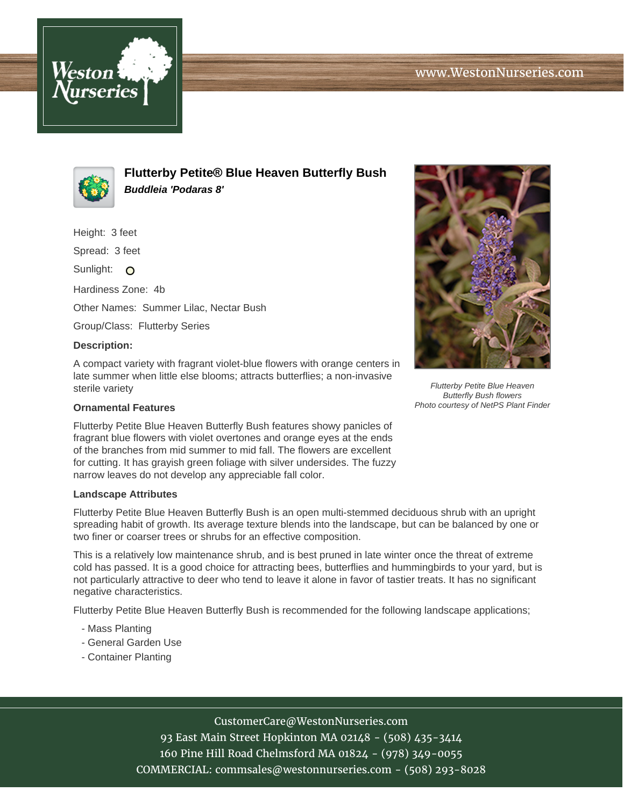



**Flutterby Petite® Blue Heaven Butterfly Bush Buddleia 'Podaras 8'**

Height: 3 feet

Spread: 3 feet

Sunlight: O

Hardiness Zone: 4b

Other Names: Summer Lilac, Nectar Bush

Group/Class: Flutterby Series

## **Description:**

A compact variety with fragrant violet-blue flowers with orange centers in late summer when little else blooms; attracts butterflies; a non-invasive sterile variety

## **Ornamental Features**

Flutterby Petite Blue Heaven Butterfly Bush features showy panicles of fragrant blue flowers with violet overtones and orange eyes at the ends of the branches from mid summer to mid fall. The flowers are excellent for cutting. It has grayish green foliage with silver undersides. The fuzzy narrow leaves do not develop any appreciable fall color.

## **Landscape Attributes**

Flutterby Petite Blue Heaven Butterfly Bush is an open multi-stemmed deciduous shrub with an upright spreading habit of growth. Its average texture blends into the landscape, but can be balanced by one or two finer or coarser trees or shrubs for an effective composition.

This is a relatively low maintenance shrub, and is best pruned in late winter once the threat of extreme cold has passed. It is a good choice for attracting bees, butterflies and hummingbirds to your yard, but is not particularly attractive to deer who tend to leave it alone in favor of tastier treats. It has no significant negative characteristics.

Flutterby Petite Blue Heaven Butterfly Bush is recommended for the following landscape applications;

- Mass Planting
- General Garden Use
- Container Planting



Butterfly Bush flowers Photo courtesy of NetPS Plant Finder

CustomerCare@WestonNurseries.com

93 East Main Street Hopkinton MA 02148 - (508) 435-3414 160 Pine Hill Road Chelmsford MA 01824 - (978) 349-0055 COMMERCIAL: commsales@westonnurseries.com - (508) 293-8028